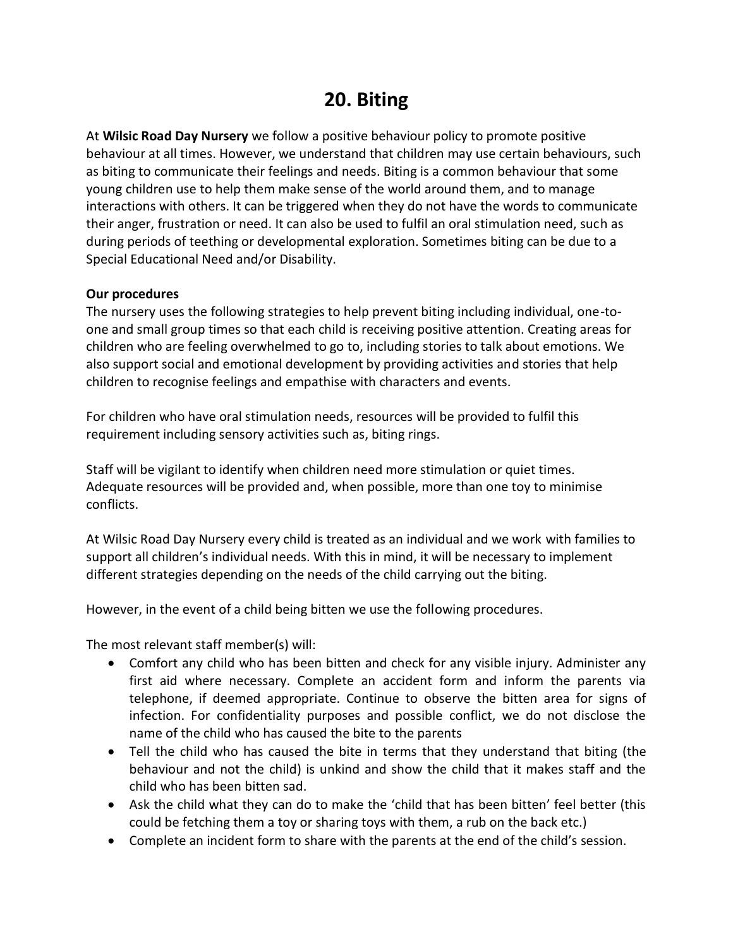## **20. Biting**

At **Wilsic Road Day Nursery** we follow a positive behaviour policy to promote positive behaviour at all times. However, we understand that children may use certain behaviours, such as biting to communicate their feelings and needs. Biting is a common behaviour that some young children use to help them make sense of the world around them, and to manage interactions with others. It can be triggered when they do not have the words to communicate their anger, frustration or need. It can also be used to fulfil an oral stimulation need, such as during periods of teething or developmental exploration. Sometimes biting can be due to a Special Educational Need and/or Disability.

## **Our procedures**

The nursery uses the following strategies to help prevent biting including individual, one-toone and small group times so that each child is receiving positive attention. Creating areas for children who are feeling overwhelmed to go to, including stories to talk about emotions. We also support social and emotional development by providing activities and stories that help children to recognise feelings and empathise with characters and events.

For children who have oral stimulation needs, resources will be provided to fulfil this requirement including sensory activities such as, biting rings.

Staff will be vigilant to identify when children need more stimulation or quiet times. Adequate resources will be provided and, when possible, more than one toy to minimise conflicts.

At Wilsic Road Day Nursery every child is treated as an individual and we work with families to support all children's individual needs. With this in mind, it will be necessary to implement different strategies depending on the needs of the child carrying out the biting.

However, in the event of a child being bitten we use the following procedures.

The most relevant staff member(s) will:

- Comfort any child who has been bitten and check for any visible injury. Administer any first aid where necessary. Complete an accident form and inform the parents via telephone, if deemed appropriate. Continue to observe the bitten area for signs of infection. For confidentiality purposes and possible conflict, we do not disclose the name of the child who has caused the bite to the parents
- Tell the child who has caused the bite in terms that they understand that biting (the behaviour and not the child) is unkind and show the child that it makes staff and the child who has been bitten sad.
- Ask the child what they can do to make the 'child that has been bitten' feel better (this could be fetching them a toy or sharing toys with them, a rub on the back etc.)
- Complete an incident form to share with the parents at the end of the child's session.